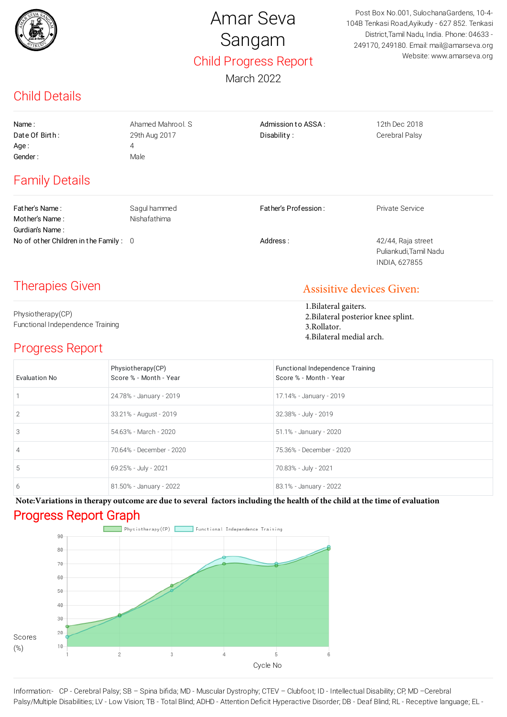

## Amar Seva Sangam Child Progress Report

March 2022

Post Box No.001, SulochanaGardens, 10-4- 104B Tenkasi Road,Ayikudy - 627 852. Tenkasi District,Tamil Nadu, India. Phone: 04633 - 249170, 249180. Email: mail@amarseva.org Website: www.amarseva.org

## Child Details

| Name:<br>Date Of Birth:<br>Age :<br>Gender:           | Ahamed Mahrool, S.<br>29th Aug 2017<br>4<br>Male | Admission to ASSA:<br>Disability:                                                                        | 12th Dec 2018<br>Cerebral Palsy                               |
|-------------------------------------------------------|--------------------------------------------------|----------------------------------------------------------------------------------------------------------|---------------------------------------------------------------|
| <b>Family Details</b>                                 |                                                  |                                                                                                          |                                                               |
| Father's Name:<br>Mother's Name:<br>Gurdian's Name:   | Sagul hammed<br>Nishafathima                     | Father's Profession:                                                                                     | Private Service                                               |
| No of other Children in the Family: 0                 |                                                  | Address:                                                                                                 | 42/44, Raja street<br>Puliankudi, Tamil Nadu<br>INDIA, 627855 |
| <b>Therapies Given</b>                                |                                                  | <b>Assisitive devices Given:</b>                                                                         |                                                               |
| Physiotherapy(CP)<br>Functional Independence Training |                                                  | 1. Bilateral gaiters.<br>2. Bilateral posterior knee splint.<br>3.Rollator.<br>4. Bilateral medial arch. |                                                               |
| <b>Progress Report</b>                                |                                                  |                                                                                                          |                                                               |
| <b>Evaluation No</b>                                  | Physiotherapy(CP)<br>Score % - Month - Year      | Functional Independence Training<br>Score % - Month - Year                                               |                                                               |
| 1                                                     | 24.78% - January - 2019                          | 17.14% - January - 2019                                                                                  |                                                               |
| 2                                                     | 33.21% - August - 2019                           | 32.38% - July - 2019                                                                                     |                                                               |
|                                                       |                                                  |                                                                                                          |                                                               |

| 2 | 33.21% - August - 2019   | 32.38% - July - 2019     |
|---|--------------------------|--------------------------|
| 3 | 54.63% - March - 2020    | 51.1% - January - 2020   |
| 4 | 70.64% - December - 2020 | 75.36% - December - 2020 |
| 5 | 69.25% - July - 2021     | 70.83% - July - 2021     |
| 6 | 81.50% - January - 2022  | 83.1% - January - 2022   |

Progress Report Graph **Note:Variations in therapy outcome are due to several factors including the health of the child at the time of evaluation**



Information:- CP - Cerebral Palsy; SB – Spina bifida; MD - Muscular Dystrophy; CTEV – Clubfoot; ID - Intellectual Disability; CP, MD –Cerebral Palsy/Multiple Disabilities; LV - Low Vision; TB - Total Blind; ADHD - Attention Deficit Hyperactive Disorder; DB - Deaf Blind; RL - Receptive language; EL -